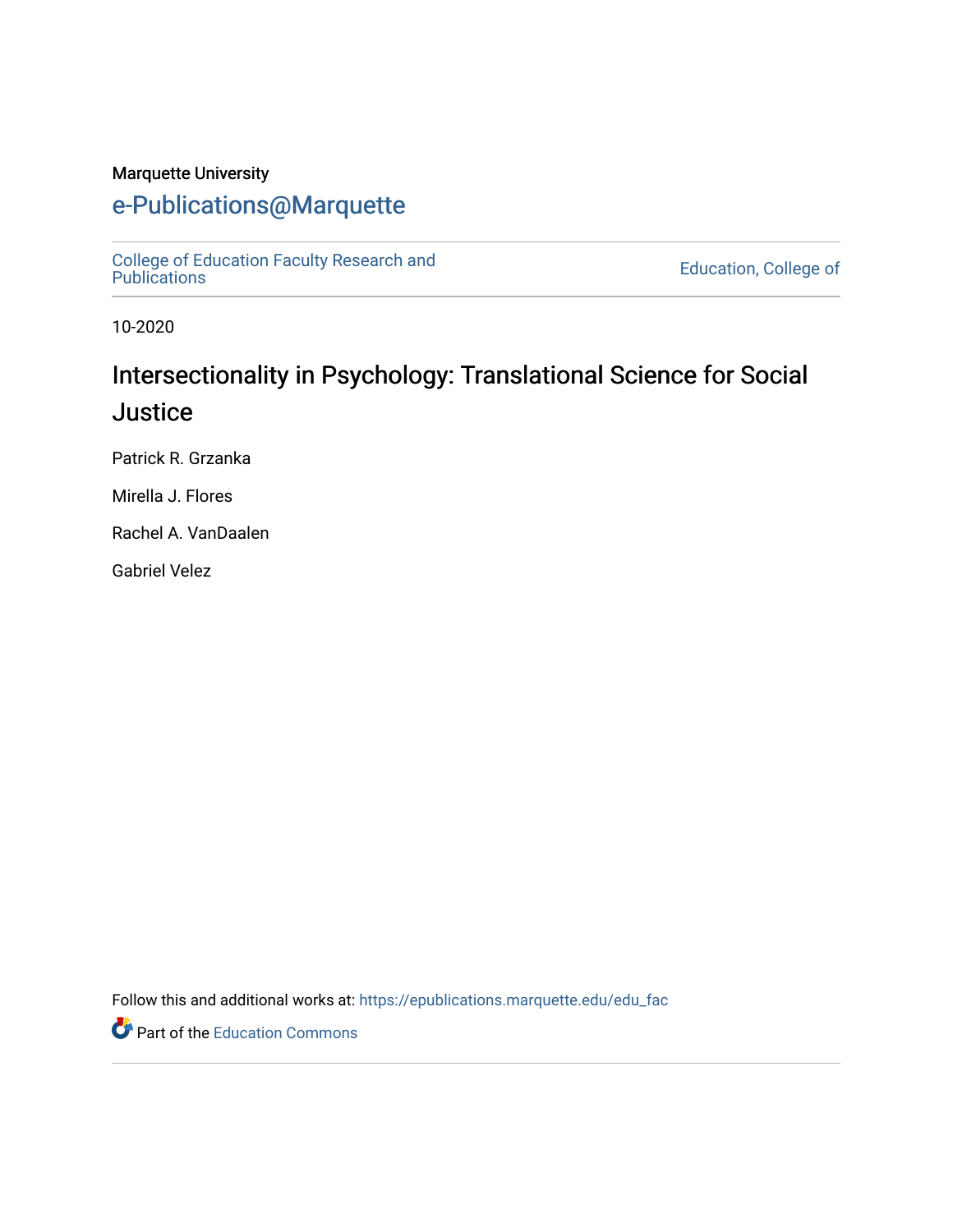#### Marquette University

## [e-Publications@Marquette](https://epublications.marquette.edu/)

[College of Education Faculty Research and](https://epublications.marquette.edu/edu_fac)  [Publications](https://epublications.marquette.edu/edu_fac) [Education, College of](https://epublications.marquette.edu/education) 

10-2020

# Intersectionality in Psychology: Translational Science for Social **Justice**

Patrick R. Grzanka

Mirella J. Flores

Rachel A. VanDaalen

Gabriel Velez

Follow this and additional works at: [https://epublications.marquette.edu/edu\\_fac](https://epublications.marquette.edu/edu_fac?utm_source=epublications.marquette.edu%2Fedu_fac%2F555&utm_medium=PDF&utm_campaign=PDFCoverPages) 

Part of the [Education Commons](http://network.bepress.com/hgg/discipline/784?utm_source=epublications.marquette.edu%2Fedu_fac%2F555&utm_medium=PDF&utm_campaign=PDFCoverPages)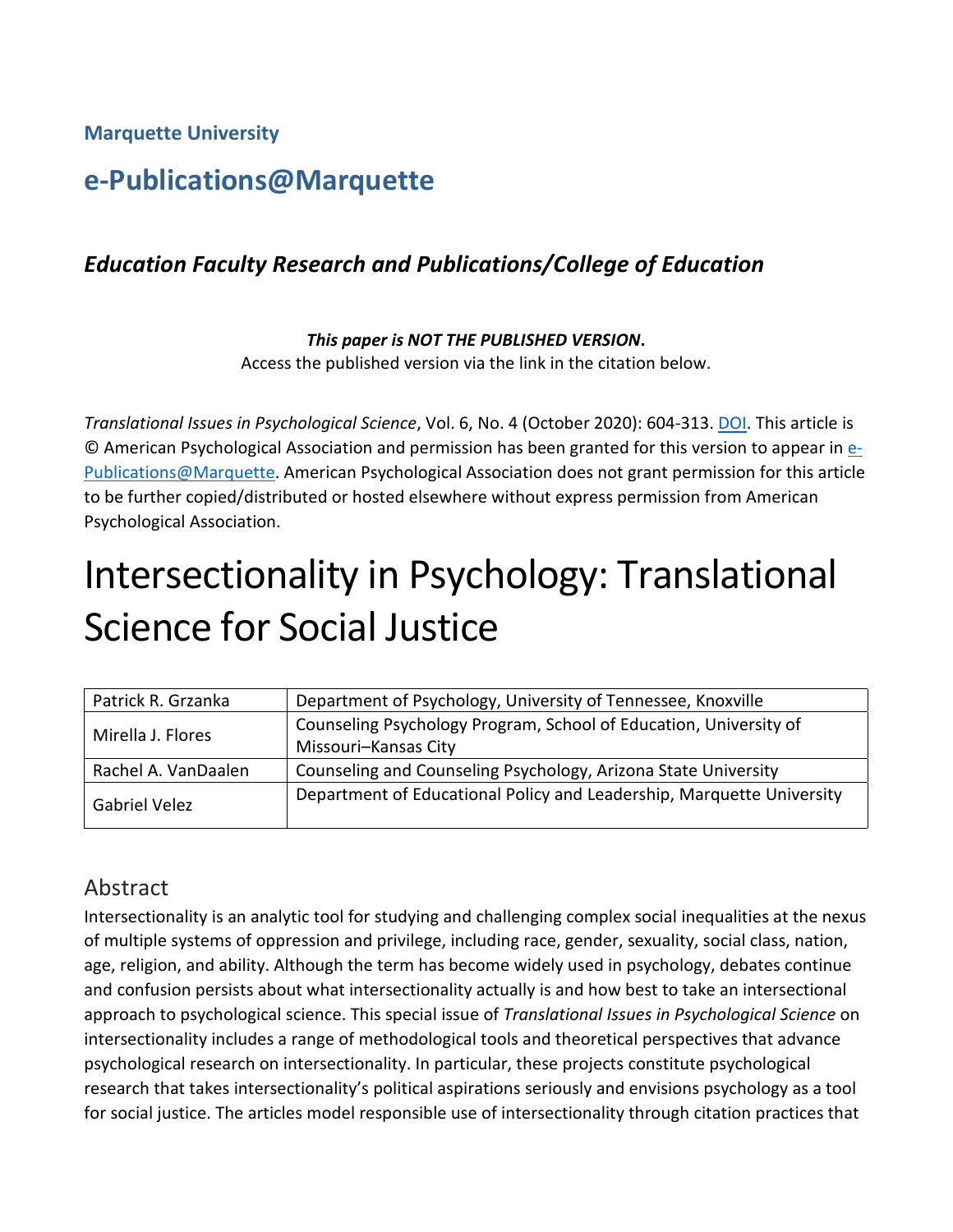**Marquette University**

## **e-Publications@Marquette**

### *Education Faculty Research and Publications/College of Education*

#### *This paper is NOT THE PUBLISHED VERSION***.**  Access the published version via the link in the citation below.

*Translational Issues in Psychological Science*, Vol. 6, No. 4 (October 2020): 604-313. [DOI.](http://dx.doi.org/10.1037/tps0000276) This article is © American Psychological Association and permission has been granted for this version to appear in [e-](http://epublications.marquette.edu/)[Publications@Marquette.](http://epublications.marquette.edu/) American Psychological Association does not grant permission for this article to be further copied/distributed or hosted elsewhere without express permission from American Psychological Association.

# Intersectionality in Psychology: Translational Science for Social Justice

| Patrick R. Grzanka  | Department of Psychology, University of Tennessee, Knoxville          |
|---------------------|-----------------------------------------------------------------------|
| Mirella J. Flores   | Counseling Psychology Program, School of Education, University of     |
|                     | Missouri-Kansas City                                                  |
| Rachel A. VanDaalen | Counseling and Counseling Psychology, Arizona State University        |
| Gabriel Velez       | Department of Educational Policy and Leadership, Marquette University |

#### Abstract

Intersectionality is an analytic tool for studying and challenging complex social inequalities at the nexus of multiple systems of oppression and privilege, including race, gender, sexuality, social class, nation, age, religion, and ability. Although the term has become widely used in psychology, debates continue and confusion persists about what intersectionality actually is and how best to take an intersectional approach to psychological science. This special issue of *Translational Issues in Psychological Science* on intersectionality includes a range of methodological tools and theoretical perspectives that advance psychological research on intersectionality. In particular, these projects constitute psychological research that takes intersectionality's political aspirations seriously and envisions psychology as a tool for social justice. The articles model responsible use of intersectionality through citation practices that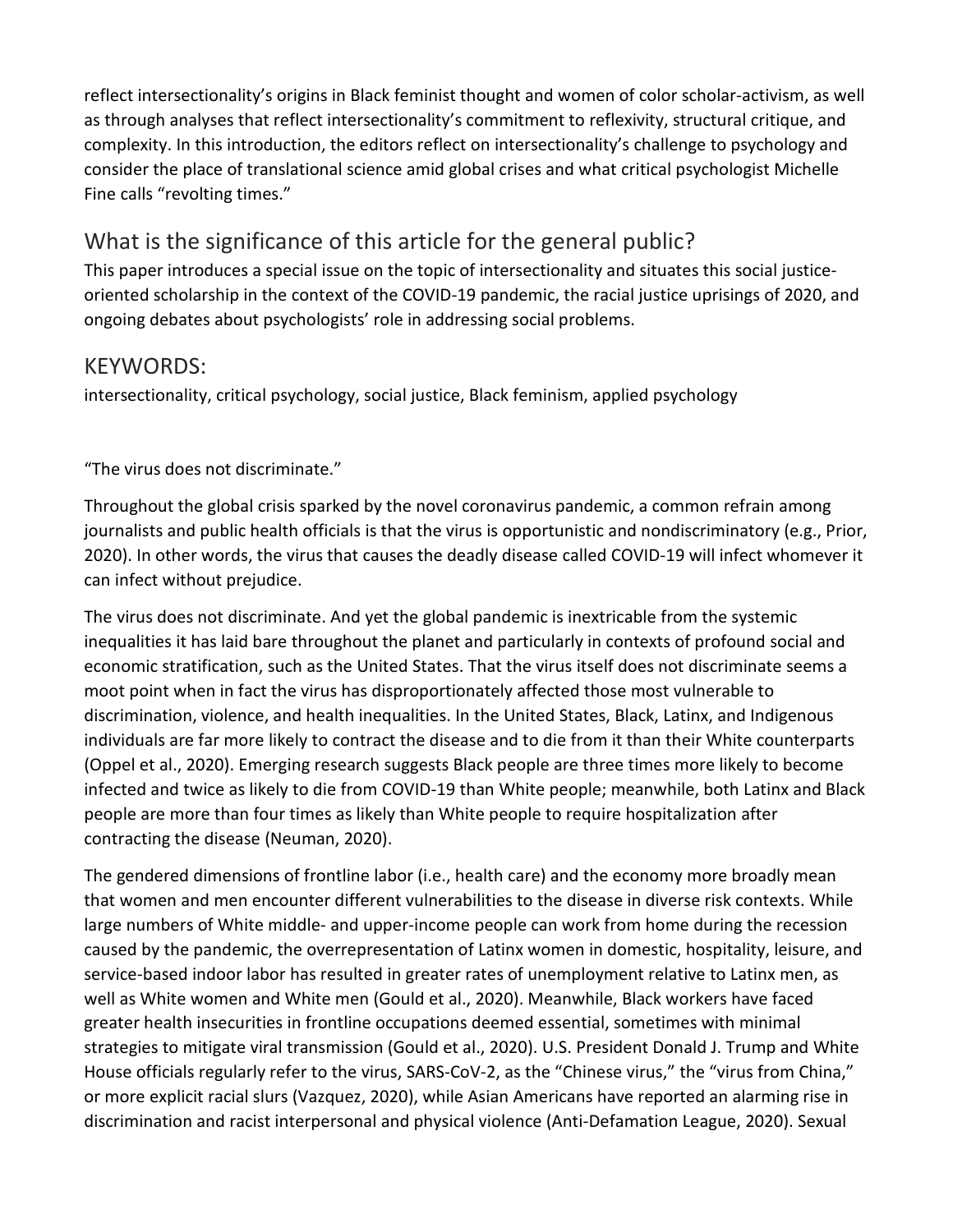reflect intersectionality's origins in Black feminist thought and women of color scholar-activism, as well as through analyses that reflect intersectionality's commitment to reflexivity, structural critique, and complexity. In this introduction, the editors reflect on intersectionality's challenge to psychology and consider the place of translational science amid global crises and what critical psychologist Michelle Fine calls "revolting times."

## What is the significance of this article for the general public?

This paper introduces a special issue on the topic of intersectionality and situates this social justiceoriented scholarship in the context of the COVID-19 pandemic, the racial justice uprisings of 2020, and ongoing debates about psychologists' role in addressing social problems.

#### KEYWORDS:

intersectionality, critical psychology, social justice, Black feminism, applied psychology

"The virus does not discriminate."

Throughout the global crisis sparked by the novel coronavirus pandemic, a common refrain among journalists and public health officials is that the virus is opportunistic and nondiscriminatory (e.g., Prior, 2020). In other words, the virus that causes the deadly disease called COVID-19 will infect whomever it can infect without prejudice.

The virus does not discriminate. And yet the global pandemic is inextricable from the systemic inequalities it has laid bare throughout the planet and particularly in contexts of profound social and economic stratification, such as the United States. That the virus itself does not discriminate seems a moot point when in fact the virus has disproportionately affected those most vulnerable to discrimination, violence, and health inequalities. In the United States, Black, Latinx, and Indigenous individuals are far more likely to contract the disease and to die from it than their White counterparts (Oppel et al., 2020). Emerging research suggests Black people are three times more likely to become infected and twice as likely to die from COVID-19 than White people; meanwhile, both Latinx and Black people are more than four times as likely than White people to require hospitalization after contracting the disease (Neuman, 2020).

The gendered dimensions of frontline labor (i.e., health care) and the economy more broadly mean that women and men encounter different vulnerabilities to the disease in diverse risk contexts. While large numbers of White middle- and upper-income people can work from home during the recession caused by the pandemic, the overrepresentation of Latinx women in domestic, hospitality, leisure, and service-based indoor labor has resulted in greater rates of unemployment relative to Latinx men, as well as White women and White men (Gould et al., 2020). Meanwhile, Black workers have faced greater health insecurities in frontline occupations deemed essential, sometimes with minimal strategies to mitigate viral transmission (Gould et al., 2020). U.S. President Donald J. Trump and White House officials regularly refer to the virus, SARS-CoV-2, as the "Chinese virus," the "virus from China," or more explicit racial slurs (Vazquez, 2020), while Asian Americans have reported an alarming rise in discrimination and racist interpersonal and physical violence (Anti-Defamation League, 2020). Sexual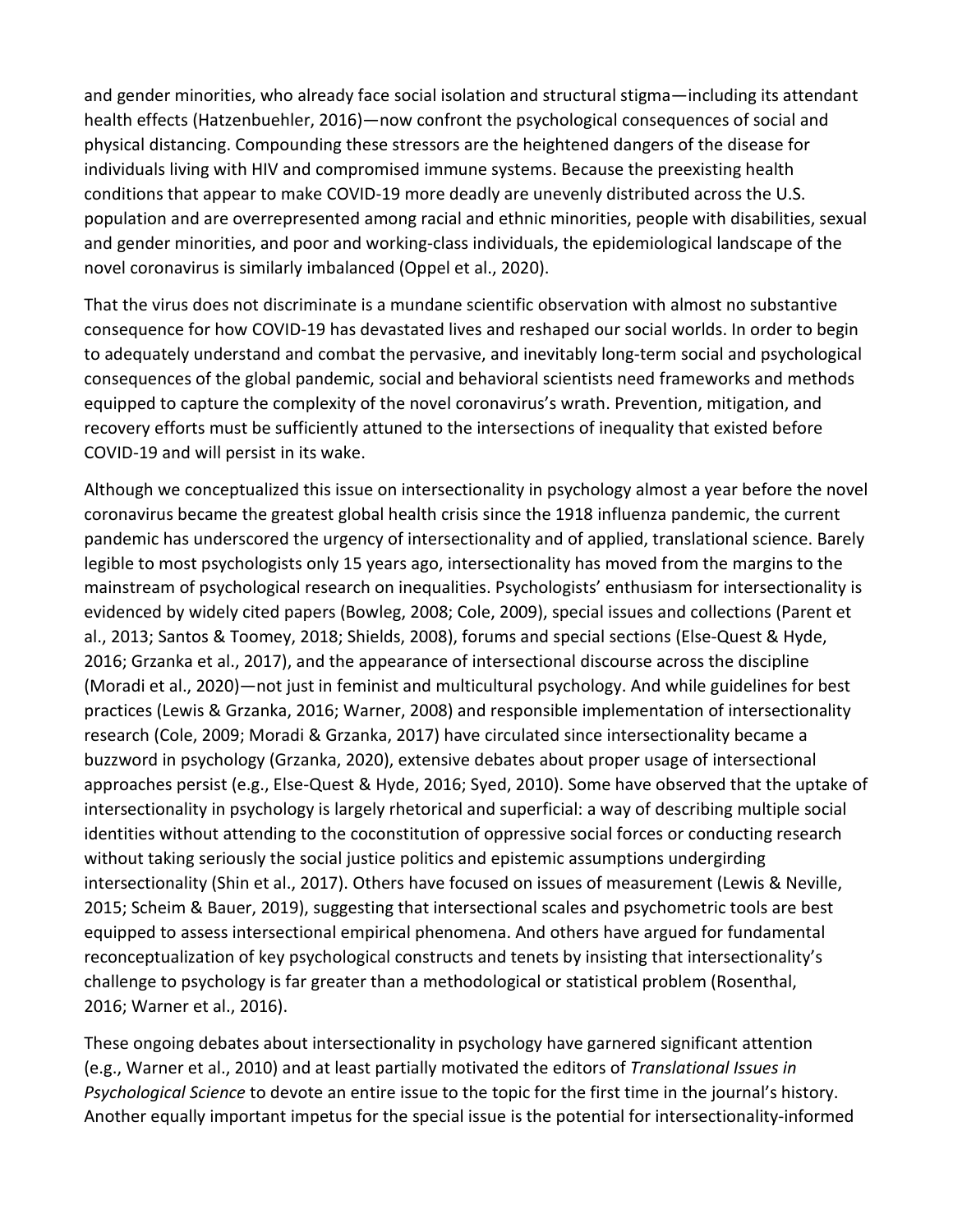and gender minorities, who already face social isolation and structural stigma—including its attendant health effects (Hatzenbuehler, 2016)—now confront the psychological consequences of social and physical distancing. Compounding these stressors are the heightened dangers of the disease for individuals living with HIV and compromised immune systems. Because the preexisting health conditions that appear to make COVID-19 more deadly are unevenly distributed across the U.S. population and are overrepresented among racial and ethnic minorities, people with disabilities, sexual and gender minorities, and poor and working-class individuals, the epidemiological landscape of the novel coronavirus is similarly imbalanced (Oppel et al., 2020).

That the virus does not discriminate is a mundane scientific observation with almost no substantive consequence for how COVID-19 has devastated lives and reshaped our social worlds. In order to begin to adequately understand and combat the pervasive, and inevitably long-term social and psychological consequences of the global pandemic, social and behavioral scientists need frameworks and methods equipped to capture the complexity of the novel coronavirus's wrath. Prevention, mitigation, and recovery efforts must be sufficiently attuned to the intersections of inequality that existed before COVID-19 and will persist in its wake.

Although we conceptualized this issue on intersectionality in psychology almost a year before the novel coronavirus became the greatest global health crisis since the 1918 influenza pandemic, the current pandemic has underscored the urgency of intersectionality and of applied, translational science. Barely legible to most psychologists only 15 years ago, intersectionality has moved from the margins to the mainstream of psychological research on inequalities. Psychologists' enthusiasm for intersectionality is evidenced by widely cited papers (Bowleg, 2008; Cole, 2009), special issues and collections (Parent et al., 2013; Santos & Toomey, 2018; Shields, 2008), forums and special sections (Else-Quest & Hyde, 2016; Grzanka et al., 2017), and the appearance of intersectional discourse across the discipline (Moradi et al., 2020)—not just in feminist and multicultural psychology. And while guidelines for best practices (Lewis & Grzanka, 2016; Warner, 2008) and responsible implementation of intersectionality research (Cole, 2009; Moradi & Grzanka, 2017) have circulated since intersectionality became a buzzword in psychology (Grzanka, 2020), extensive debates about proper usage of intersectional approaches persist (e.g., Else-Quest & Hyde, 2016; Syed, 2010). Some have observed that the uptake of intersectionality in psychology is largely rhetorical and superficial: a way of describing multiple social identities without attending to the coconstitution of oppressive social forces or conducting research without taking seriously the social justice politics and epistemic assumptions undergirding intersectionality (Shin et al., 2017). Others have focused on issues of measurement (Lewis & Neville, 2015; Scheim & Bauer, 2019), suggesting that intersectional scales and psychometric tools are best equipped to assess intersectional empirical phenomena. And others have argued for fundamental reconceptualization of key psychological constructs and tenets by insisting that intersectionality's challenge to psychology is far greater than a methodological or statistical problem (Rosenthal, 2016; Warner et al., 2016).

These ongoing debates about intersectionality in psychology have garnered significant attention (e.g., Warner et al., 2010) and at least partially motivated the editors of *Translational Issues in Psychological Science* to devote an entire issue to the topic for the first time in the journal's history. Another equally important impetus for the special issue is the potential for intersectionality-informed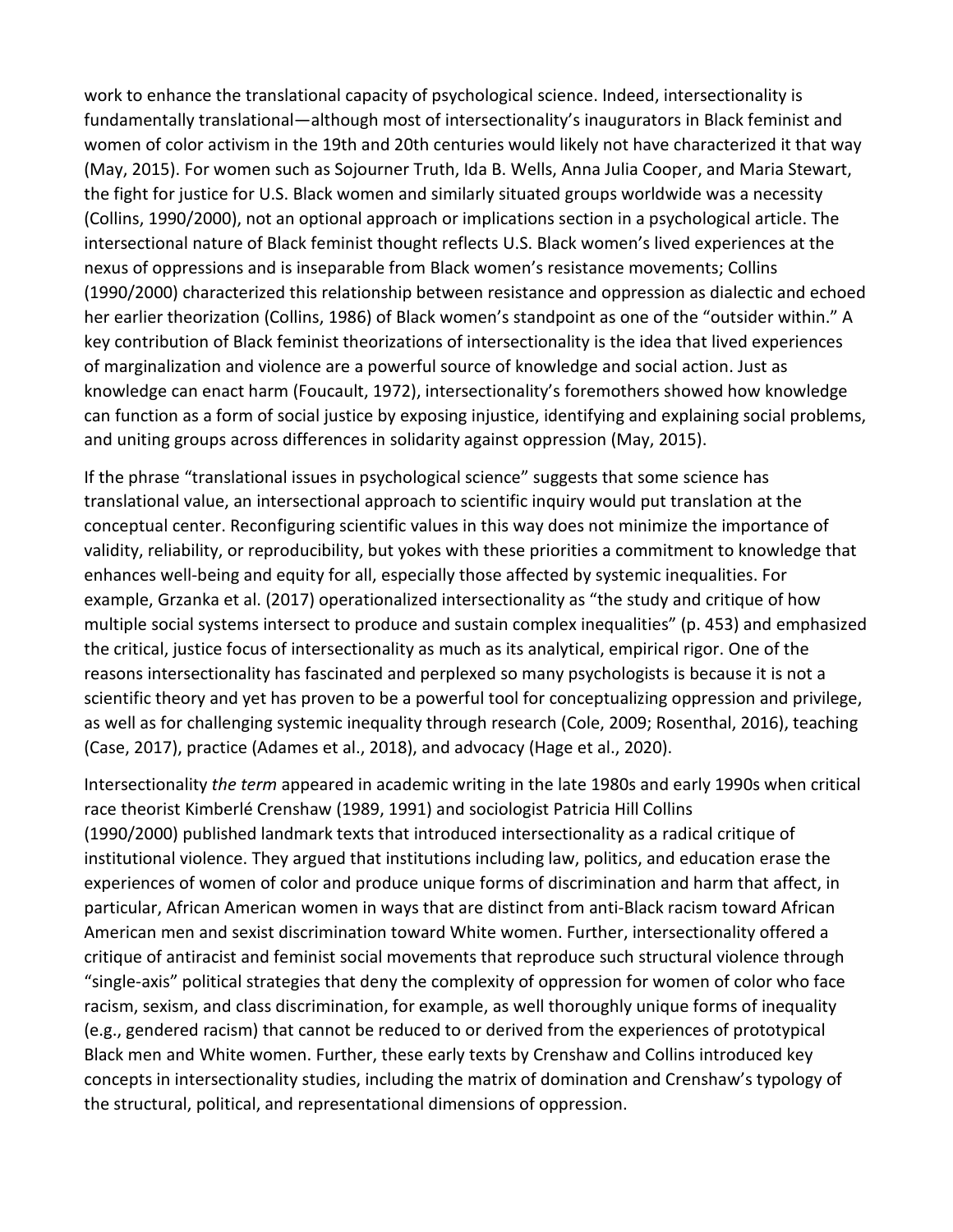work to enhance the translational capacity of psychological science. Indeed, intersectionality is fundamentally translational—although most of intersectionality's inaugurators in Black feminist and women of color activism in the 19th and 20th centuries would likely not have characterized it that way (May, 2015). For women such as Sojourner Truth, Ida B. Wells, Anna Julia Cooper, and Maria Stewart, the fight for justice for U.S. Black women and similarly situated groups worldwide was a necessity (Collins, 1990/2000), not an optional approach or implications section in a psychological article. The intersectional nature of Black feminist thought reflects U.S. Black women's lived experiences at the nexus of oppressions and is inseparable from Black women's resistance movements; Collins (1990/2000) characterized this relationship between resistance and oppression as dialectic and echoed her earlier theorization (Collins, 1986) of Black women's standpoint as one of the "outsider within." A key contribution of Black feminist theorizations of intersectionality is the idea that lived experiences of marginalization and violence are a powerful source of knowledge and social action. Just as knowledge can enact harm (Foucault, 1972), intersectionality's foremothers showed how knowledge can function as a form of social justice by exposing injustice, identifying and explaining social problems, and uniting groups across differences in solidarity against oppression (May, 2015).

If the phrase "translational issues in psychological science" suggests that some science has translational value, an intersectional approach to scientific inquiry would put translation at the conceptual center. Reconfiguring scientific values in this way does not minimize the importance of validity, reliability, or reproducibility, but yokes with these priorities a commitment to knowledge that enhances well-being and equity for all, especially those affected by systemic inequalities. For example, Grzanka et al. (2017) operationalized intersectionality as "the study and critique of how multiple social systems intersect to produce and sustain complex inequalities" (p. 453) and emphasized the critical, justice focus of intersectionality as much as its analytical, empirical rigor. One of the reasons intersectionality has fascinated and perplexed so many psychologists is because it is not a scientific theory and yet has proven to be a powerful tool for conceptualizing oppression and privilege, as well as for challenging systemic inequality through research (Cole, 2009; Rosenthal, 2016), teaching (Case, 2017), practice (Adames et al., 2018), and advocacy (Hage et al., 2020).

Intersectionality *the term* appeared in academic writing in the late 1980s and early 1990s when critical race theorist Kimberlé Crenshaw (1989, 1991) and sociologist Patricia Hill Collins (1990/2000) published landmark texts that introduced intersectionality as a radical critique of institutional violence. They argued that institutions including law, politics, and education erase the experiences of women of color and produce unique forms of discrimination and harm that affect, in particular, African American women in ways that are distinct from anti-Black racism toward African American men and sexist discrimination toward White women. Further, intersectionality offered a critique of antiracist and feminist social movements that reproduce such structural violence through "single-axis" political strategies that deny the complexity of oppression for women of color who face racism, sexism, and class discrimination, for example, as well thoroughly unique forms of inequality (e.g., gendered racism) that cannot be reduced to or derived from the experiences of prototypical Black men and White women. Further, these early texts by Crenshaw and Collins introduced key concepts in intersectionality studies, including the matrix of domination and Crenshaw's typology of the structural, political, and representational dimensions of oppression.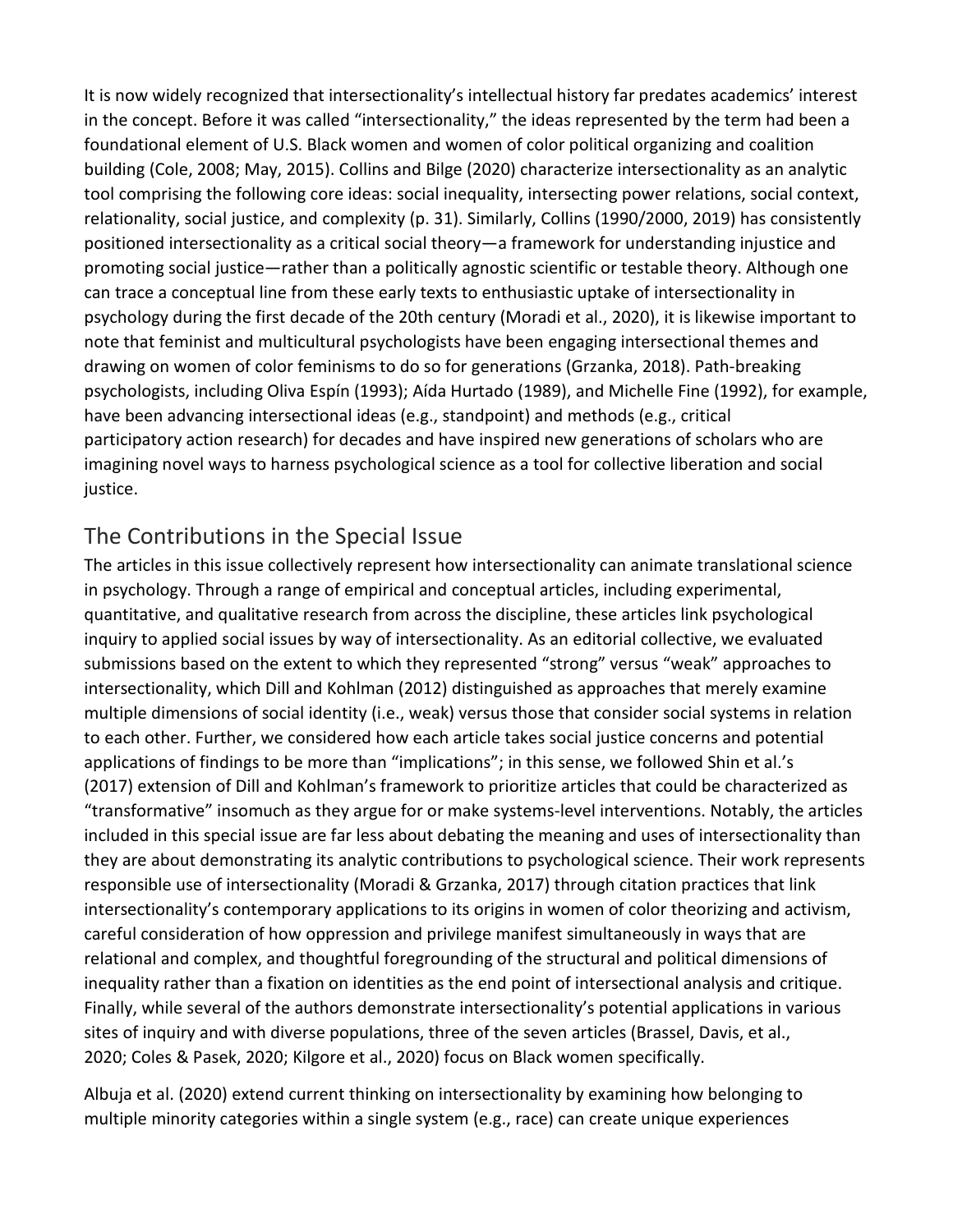It is now widely recognized that intersectionality's intellectual history far predates academics' interest in the concept. Before it was called "intersectionality," the ideas represented by the term had been a foundational element of U.S. Black women and women of color political organizing and coalition building (Cole, 2008; May, 2015). Collins and Bilge (2020) characterize intersectionality as an analytic tool comprising the following core ideas: social inequality, intersecting power relations, social context, relationality, social justice, and complexity (p. 31). Similarly, Collins (1990/2000, 2019) has consistently positioned intersectionality as a critical social theory—a framework for understanding injustice and promoting social justice—rather than a politically agnostic scientific or testable theory. Although one can trace a conceptual line from these early texts to enthusiastic uptake of intersectionality in psychology during the first decade of the 20th century (Moradi et al., 2020), it is likewise important to note that feminist and multicultural psychologists have been engaging intersectional themes and drawing on women of color feminisms to do so for generations (Grzanka, 2018). Path-breaking psychologists, including Oliva Espín (1993); Aída Hurtado (1989), and Michelle Fine (1992), for example, have been advancing intersectional ideas (e.g., standpoint) and methods (e.g., critical participatory action research) for decades and have inspired new generations of scholars who are imagining novel ways to harness psychological science as a tool for collective liberation and social justice.

#### The Contributions in the Special Issue

The articles in this issue collectively represent how intersectionality can animate translational science in psychology. Through a range of empirical and conceptual articles, including experimental, quantitative, and qualitative research from across the discipline, these articles link psychological inquiry to applied social issues by way of intersectionality. As an editorial collective, we evaluated submissions based on the extent to which they represented "strong" versus "weak" approaches to intersectionality, which Dill and Kohlman (2012) distinguished as approaches that merely examine multiple dimensions of social identity (i.e., weak) versus those that consider social systems in relation to each other. Further, we considered how each article takes social justice concerns and potential applications of findings to be more than "implications"; in this sense, we followed Shin et al.'s (2017) extension of Dill and Kohlman's framework to prioritize articles that could be characterized as "transformative" insomuch as they argue for or make systems-level interventions. Notably, the articles included in this special issue are far less about debating the meaning and uses of intersectionality than they are about demonstrating its analytic contributions to psychological science. Their work represents responsible use of intersectionality (Moradi & Grzanka, 2017) through citation practices that link intersectionality's contemporary applications to its origins in women of color theorizing and activism, careful consideration of how oppression and privilege manifest simultaneously in ways that are relational and complex, and thoughtful foregrounding of the structural and political dimensions of inequality rather than a fixation on identities as the end point of intersectional analysis and critique. Finally, while several of the authors demonstrate intersectionality's potential applications in various sites of inquiry and with diverse populations, three of the seven articles (Brassel, Davis, et al., 2020; Coles & Pasek, 2020; Kilgore et al., 2020) focus on Black women specifically.

Albuja et al. (2020) extend current thinking on intersectionality by examining how belonging to multiple minority categories within a single system (e.g., race) can create unique experiences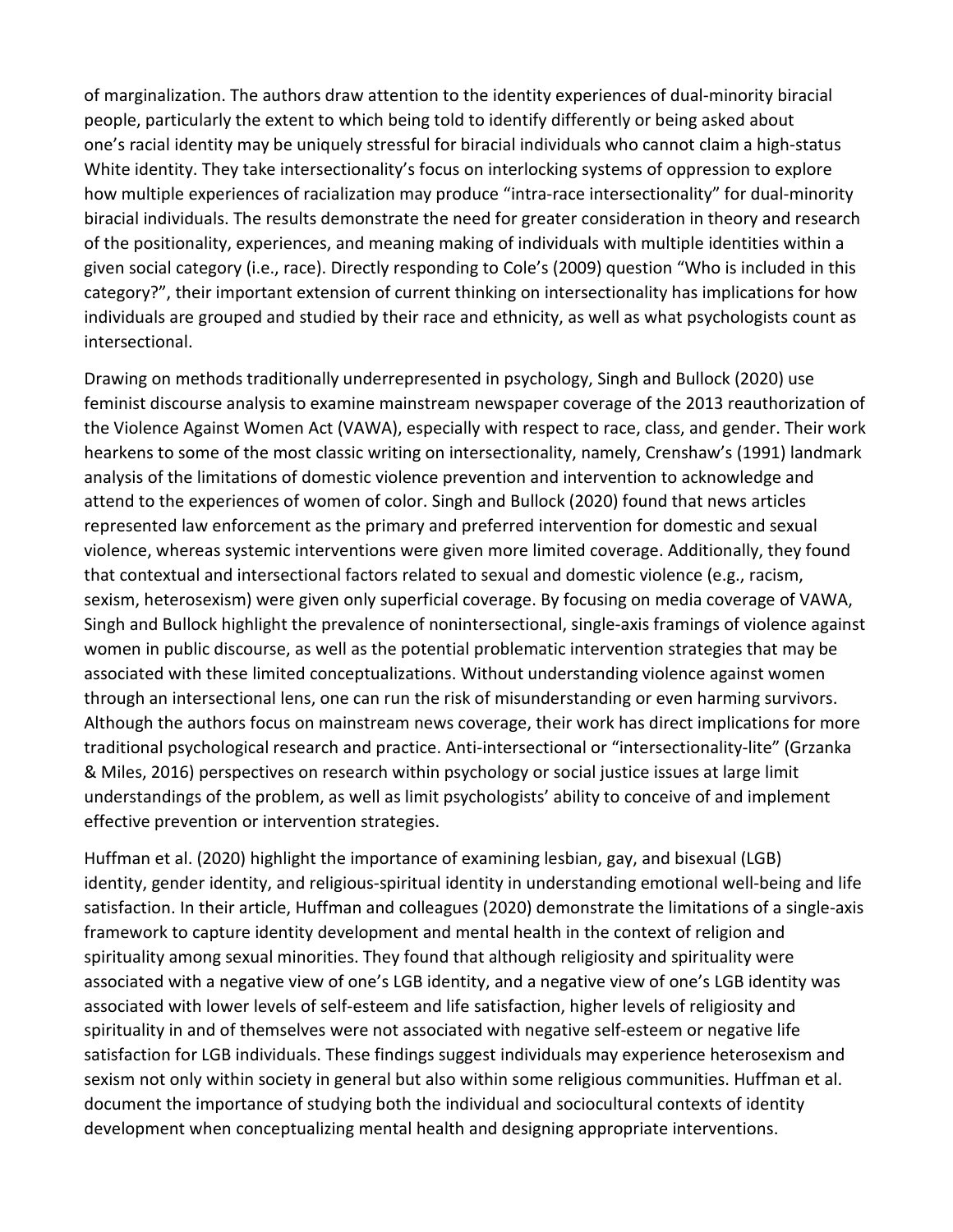of marginalization. The authors draw attention to the identity experiences of dual-minority biracial people, particularly the extent to which being told to identify differently or being asked about one's racial identity may be uniquely stressful for biracial individuals who cannot claim a high-status White identity. They take intersectionality's focus on interlocking systems of oppression to explore how multiple experiences of racialization may produce "intra-race intersectionality" for dual-minority biracial individuals. The results demonstrate the need for greater consideration in theory and research of the positionality, experiences, and meaning making of individuals with multiple identities within a given social category (i.e., race). Directly responding to Cole's (2009) question "Who is included in this category?", their important extension of current thinking on intersectionality has implications for how individuals are grouped and studied by their race and ethnicity, as well as what psychologists count as intersectional.

Drawing on methods traditionally underrepresented in psychology, Singh and Bullock (2020) use feminist discourse analysis to examine mainstream newspaper coverage of the 2013 reauthorization of the Violence Against Women Act (VAWA), especially with respect to race, class, and gender. Their work hearkens to some of the most classic writing on intersectionality, namely, Crenshaw's (1991) landmark analysis of the limitations of domestic violence prevention and intervention to acknowledge and attend to the experiences of women of color. Singh and Bullock (2020) found that news articles represented law enforcement as the primary and preferred intervention for domestic and sexual violence, whereas systemic interventions were given more limited coverage. Additionally, they found that contextual and intersectional factors related to sexual and domestic violence (e.g., racism, sexism, heterosexism) were given only superficial coverage. By focusing on media coverage of VAWA, Singh and Bullock highlight the prevalence of nonintersectional, single-axis framings of violence against women in public discourse, as well as the potential problematic intervention strategies that may be associated with these limited conceptualizations. Without understanding violence against women through an intersectional lens, one can run the risk of misunderstanding or even harming survivors. Although the authors focus on mainstream news coverage, their work has direct implications for more traditional psychological research and practice. Anti-intersectional or "intersectionality-lite" (Grzanka & Miles, 2016) perspectives on research within psychology or social justice issues at large limit understandings of the problem, as well as limit psychologists' ability to conceive of and implement effective prevention or intervention strategies.

Huffman et al. (2020) highlight the importance of examining lesbian, gay, and bisexual (LGB) identity, gender identity, and religious-spiritual identity in understanding emotional well-being and life satisfaction. In their article, Huffman and colleagues (2020) demonstrate the limitations of a single-axis framework to capture identity development and mental health in the context of religion and spirituality among sexual minorities. They found that although religiosity and spirituality were associated with a negative view of one's LGB identity, and a negative view of one's LGB identity was associated with lower levels of self-esteem and life satisfaction, higher levels of religiosity and spirituality in and of themselves were not associated with negative self-esteem or negative life satisfaction for LGB individuals. These findings suggest individuals may experience heterosexism and sexism not only within society in general but also within some religious communities. Huffman et al. document the importance of studying both the individual and sociocultural contexts of identity development when conceptualizing mental health and designing appropriate interventions.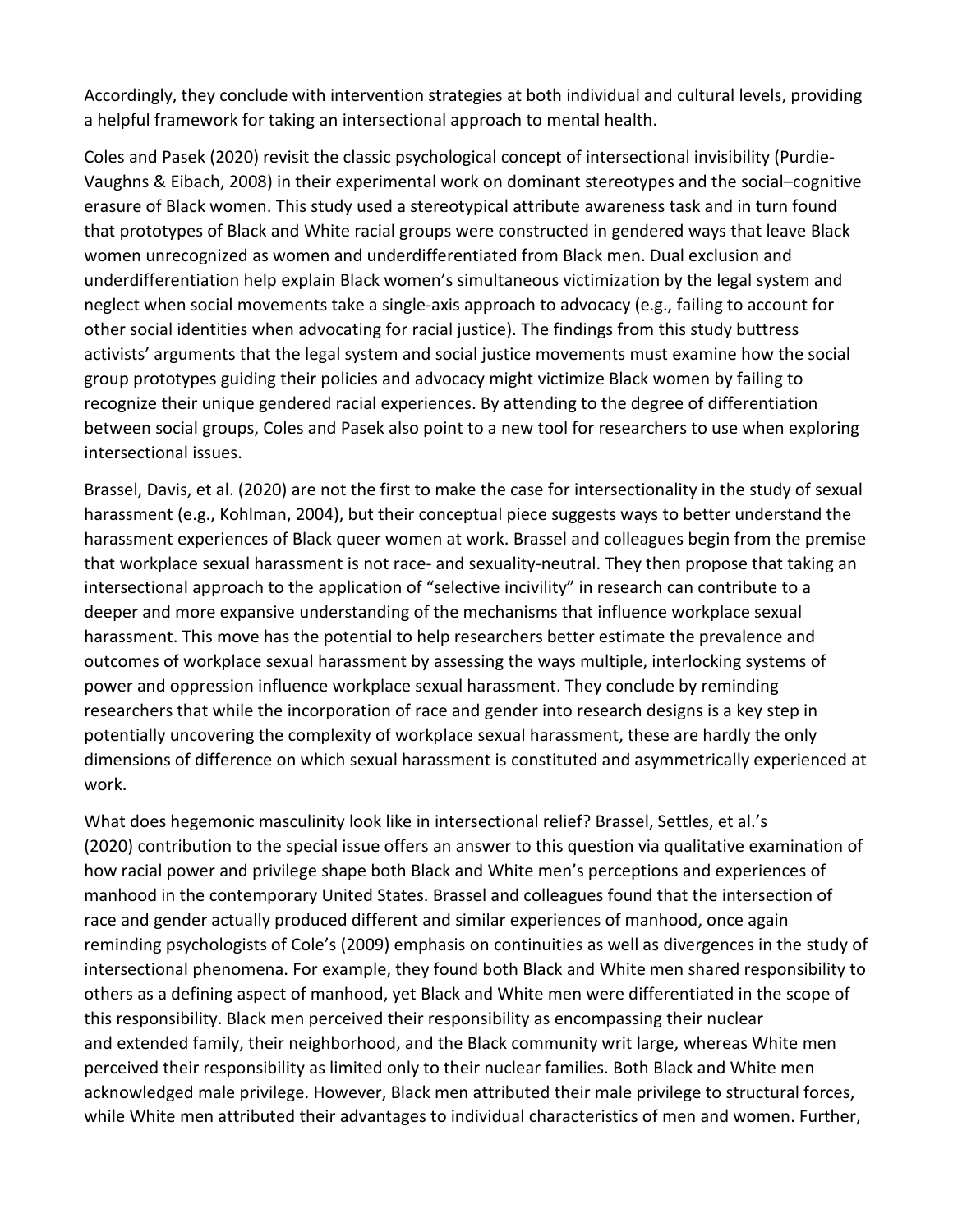Accordingly, they conclude with intervention strategies at both individual and cultural levels, providing a helpful framework for taking an intersectional approach to mental health.

Coles and Pasek (2020) revisit the classic psychological concept of intersectional invisibility (Purdie-Vaughns & Eibach, 2008) in their experimental work on dominant stereotypes and the social–cognitive erasure of Black women. This study used a stereotypical attribute awareness task and in turn found that prototypes of Black and White racial groups were constructed in gendered ways that leave Black women unrecognized as women and underdifferentiated from Black men. Dual exclusion and underdifferentiation help explain Black women's simultaneous victimization by the legal system and neglect when social movements take a single-axis approach to advocacy (e.g., failing to account for other social identities when advocating for racial justice). The findings from this study buttress activists' arguments that the legal system and social justice movements must examine how the social group prototypes guiding their policies and advocacy might victimize Black women by failing to recognize their unique gendered racial experiences. By attending to the degree of differentiation between social groups, Coles and Pasek also point to a new tool for researchers to use when exploring intersectional issues.

Brassel, Davis, et al. (2020) are not the first to make the case for intersectionality in the study of sexual harassment (e.g., Kohlman, 2004), but their conceptual piece suggests ways to better understand the harassment experiences of Black queer women at work. Brassel and colleagues begin from the premise that workplace sexual harassment is not race- and sexuality-neutral. They then propose that taking an intersectional approach to the application of "selective incivility" in research can contribute to a deeper and more expansive understanding of the mechanisms that influence workplace sexual harassment. This move has the potential to help researchers better estimate the prevalence and outcomes of workplace sexual harassment by assessing the ways multiple, interlocking systems of power and oppression influence workplace sexual harassment. They conclude by reminding researchers that while the incorporation of race and gender into research designs is a key step in potentially uncovering the complexity of workplace sexual harassment, these are hardly the only dimensions of difference on which sexual harassment is constituted and asymmetrically experienced at work.

What does hegemonic masculinity look like in intersectional relief? Brassel, Settles, et al.'s (2020) contribution to the special issue offers an answer to this question via qualitative examination of how racial power and privilege shape both Black and White men's perceptions and experiences of manhood in the contemporary United States. Brassel and colleagues found that the intersection of race and gender actually produced different and similar experiences of manhood, once again reminding psychologists of Cole's (2009) emphasis on continuities as well as divergences in the study of intersectional phenomena. For example, they found both Black and White men shared responsibility to others as a defining aspect of manhood, yet Black and White men were differentiated in the scope of this responsibility. Black men perceived their responsibility as encompassing their nuclear and extended family, their neighborhood, and the Black community writ large, whereas White men perceived their responsibility as limited only to their nuclear families. Both Black and White men acknowledged male privilege. However, Black men attributed their male privilege to structural forces, while White men attributed their advantages to individual characteristics of men and women. Further,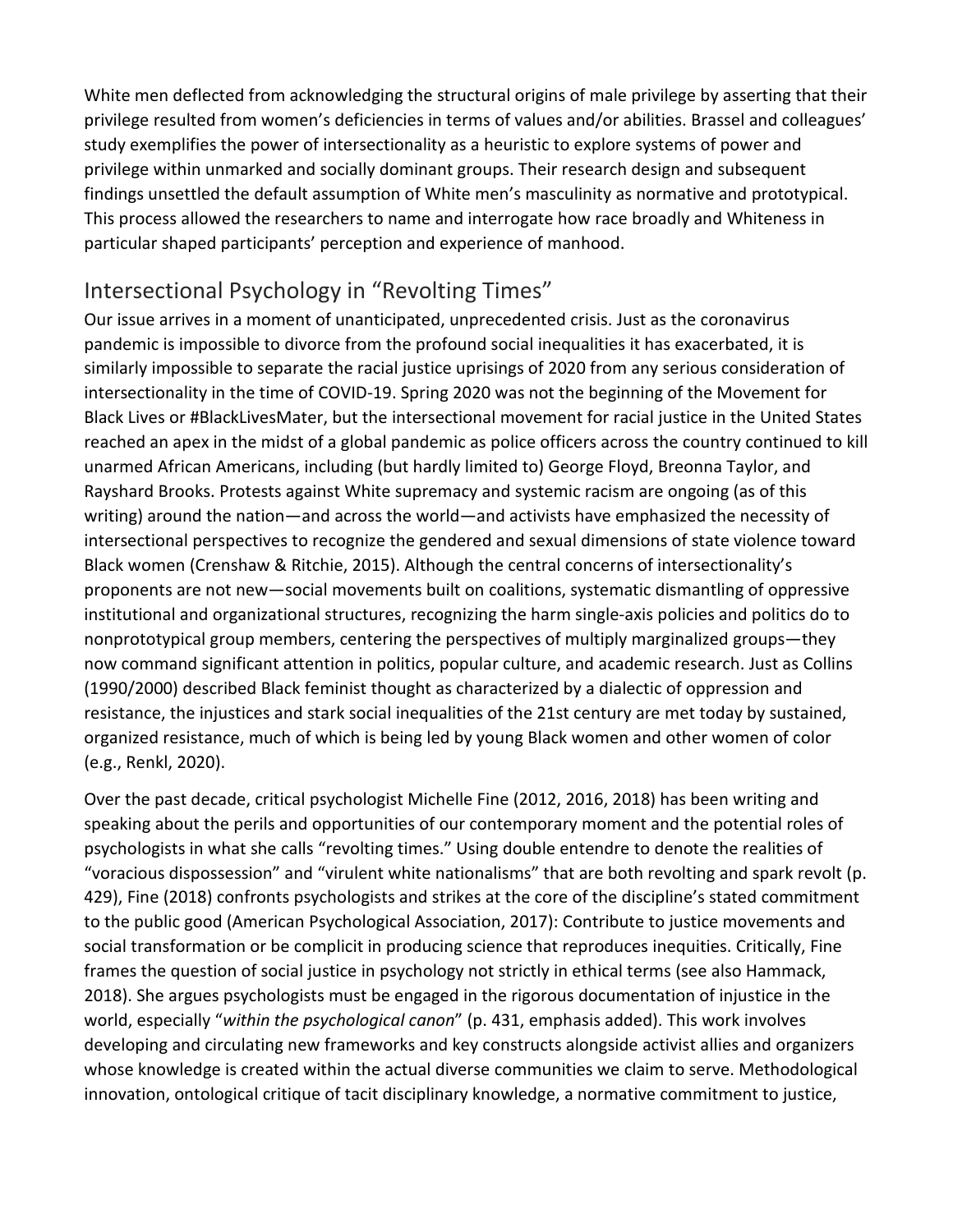White men deflected from acknowledging the structural origins of male privilege by asserting that their privilege resulted from women's deficiencies in terms of values and/or abilities. Brassel and colleagues' study exemplifies the power of intersectionality as a heuristic to explore systems of power and privilege within unmarked and socially dominant groups. Their research design and subsequent findings unsettled the default assumption of White men's masculinity as normative and prototypical. This process allowed the researchers to name and interrogate how race broadly and Whiteness in particular shaped participants' perception and experience of manhood.

### Intersectional Psychology in "Revolting Times"

Our issue arrives in a moment of unanticipated, unprecedented crisis. Just as the coronavirus pandemic is impossible to divorce from the profound social inequalities it has exacerbated, it is similarly impossible to separate the racial justice uprisings of 2020 from any serious consideration of intersectionality in the time of COVID-19. Spring 2020 was not the beginning of the Movement for Black Lives or #BlackLivesMater, but the intersectional movement for racial justice in the United States reached an apex in the midst of a global pandemic as police officers across the country continued to kill unarmed African Americans, including (but hardly limited to) George Floyd, Breonna Taylor, and Rayshard Brooks. Protests against White supremacy and systemic racism are ongoing (as of this writing) around the nation—and across the world—and activists have emphasized the necessity of intersectional perspectives to recognize the gendered and sexual dimensions of state violence toward Black women (Crenshaw & Ritchie, 2015). Although the central concerns of intersectionality's proponents are not new—social movements built on coalitions, systematic dismantling of oppressive institutional and organizational structures, recognizing the harm single-axis policies and politics do to nonprototypical group members, centering the perspectives of multiply marginalized groups—they now command significant attention in politics, popular culture, and academic research. Just as Collins (1990/2000) described Black feminist thought as characterized by a dialectic of oppression and resistance, the injustices and stark social inequalities of the 21st century are met today by sustained, organized resistance, much of which is being led by young Black women and other women of color (e.g., Renkl, 2020).

Over the past decade, critical psychologist Michelle Fine (2012, 2016, 2018) has been writing and speaking about the perils and opportunities of our contemporary moment and the potential roles of psychologists in what she calls "revolting times." Using double entendre to denote the realities of "voracious dispossession" and "virulent white nationalisms" that are both revolting and spark revolt (p. 429), Fine (2018) confronts psychologists and strikes at the core of the discipline's stated commitment to the public good (American Psychological Association, 2017): Contribute to justice movements and social transformation or be complicit in producing science that reproduces inequities. Critically, Fine frames the question of social justice in psychology not strictly in ethical terms (see also Hammack, 2018). She argues psychologists must be engaged in the rigorous documentation of injustice in the world, especially "*within the psychological canon*" (p. 431, emphasis added). This work involves developing and circulating new frameworks and key constructs alongside activist allies and organizers whose knowledge is created within the actual diverse communities we claim to serve. Methodological innovation, ontological critique of tacit disciplinary knowledge, a normative commitment to justice,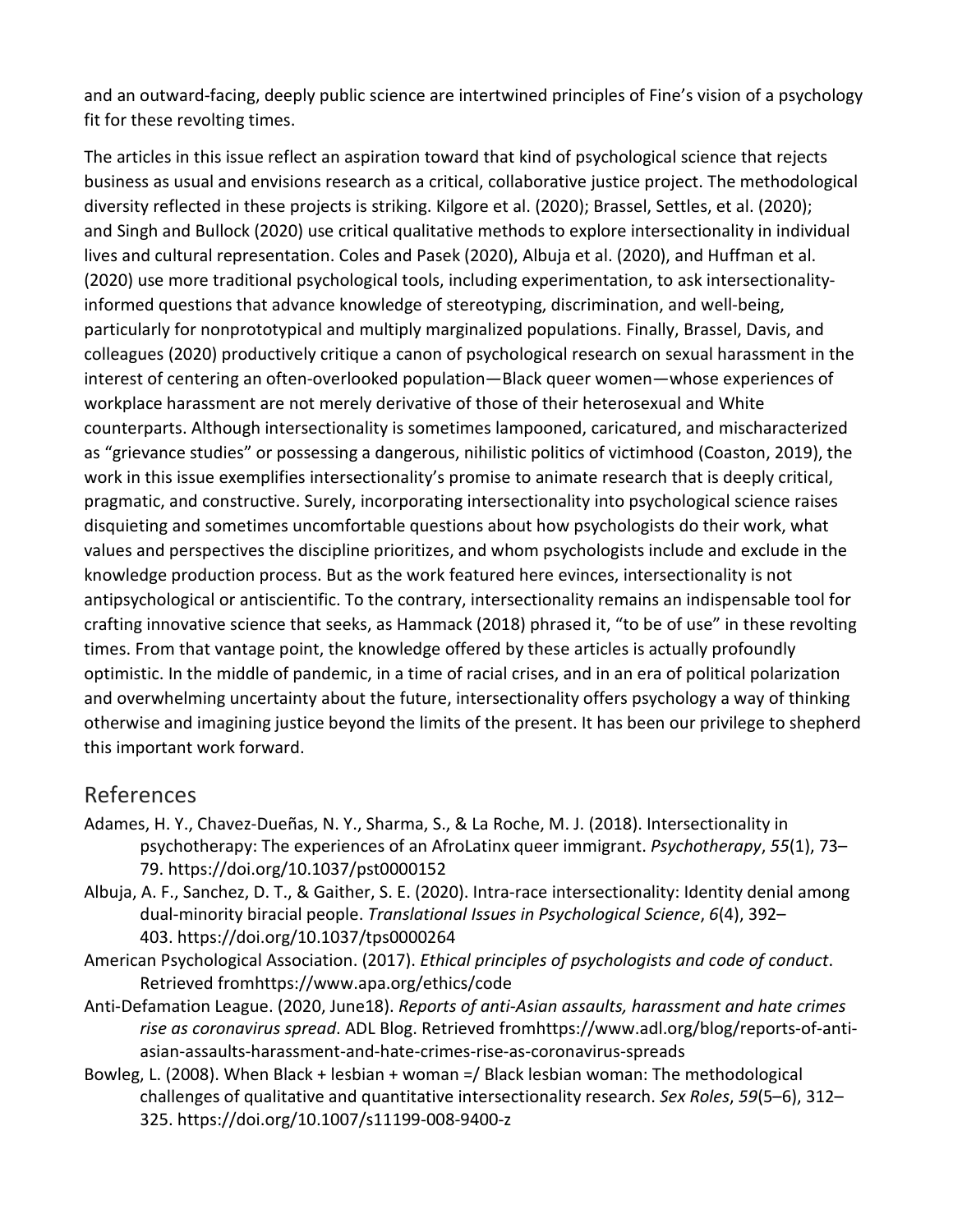and an outward-facing, deeply public science are intertwined principles of Fine's vision of a psychology fit for these revolting times.

The articles in this issue reflect an aspiration toward that kind of psychological science that rejects business as usual and envisions research as a critical, collaborative justice project. The methodological diversity reflected in these projects is striking. Kilgore et al. (2020); Brassel, Settles, et al. (2020); and Singh and Bullock (2020) use critical qualitative methods to explore intersectionality in individual lives and cultural representation. Coles and Pasek (2020), Albuja et al. (2020), and Huffman et al. (2020) use more traditional psychological tools, including experimentation, to ask intersectionalityinformed questions that advance knowledge of stereotyping, discrimination, and well-being, particularly for nonprototypical and multiply marginalized populations. Finally, Brassel, Davis, and colleagues (2020) productively critique a canon of psychological research on sexual harassment in the interest of centering an often-overlooked population—Black queer women—whose experiences of workplace harassment are not merely derivative of those of their heterosexual and White counterparts. Although intersectionality is sometimes lampooned, caricatured, and mischaracterized as "grievance studies" or possessing a dangerous, nihilistic politics of victimhood (Coaston, 2019), the work in this issue exemplifies intersectionality's promise to animate research that is deeply critical, pragmatic, and constructive. Surely, incorporating intersectionality into psychological science raises disquieting and sometimes uncomfortable questions about how psychologists do their work, what values and perspectives the discipline prioritizes, and whom psychologists include and exclude in the knowledge production process. But as the work featured here evinces, intersectionality is not antipsychological or antiscientific. To the contrary, intersectionality remains an indispensable tool for crafting innovative science that seeks, as Hammack (2018) phrased it, "to be of use" in these revolting times. From that vantage point, the knowledge offered by these articles is actually profoundly optimistic. In the middle of pandemic, in a time of racial crises, and in an era of political polarization and overwhelming uncertainty about the future, intersectionality offers psychology a way of thinking otherwise and imagining justice beyond the limits of the present. It has been our privilege to shepherd this important work forward.

#### References

Adames, H. Y., Chavez-Dueñas, N. Y., Sharma, S., & La Roche, M. J. (2018). Intersectionality in psychotherapy: The experiences of an AfroLatinx queer immigrant. *Psychotherapy*, *55*(1), 73– 79. https://doi.org/10.1037/pst0000152

Albuja, A. F., Sanchez, D. T., & Gaither, S. E. (2020). Intra-race intersectionality: Identity denial among dual-minority biracial people. *Translational Issues in Psychological Science*, *6*(4), 392– 403. https://doi.org/10.1037/tps0000264

- American Psychological Association. (2017). *Ethical principles of psychologists and code of conduct*. Retrieved fromhttps://www.apa.org/ethics/code
- Anti-Defamation League. (2020, June18). *Reports of anti-Asian assaults, harassment and hate crimes rise as coronavirus spread*. ADL Blog. Retrieved fromhttps://www.adl.org/blog/reports-of-antiasian-assaults-harassment-and-hate-crimes-rise-as-coronavirus-spreads
- Bowleg, L. (2008). When Black + lesbian + woman =/ Black lesbian woman: The methodological challenges of qualitative and quantitative intersectionality research. *Sex Roles*, *59*(5–6), 312– 325. https://doi.org/10.1007/s11199-008-9400-z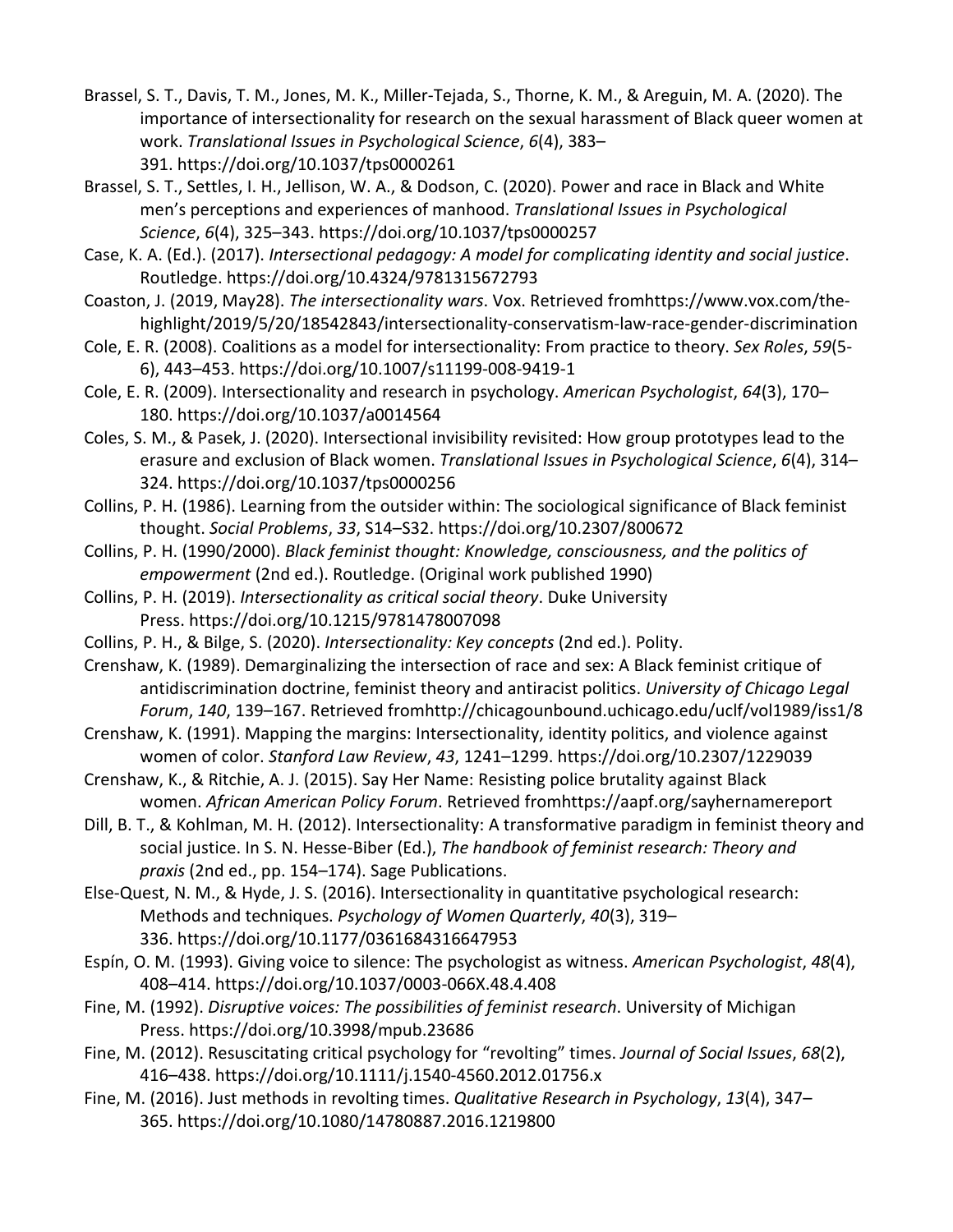- Brassel, S. T., Davis, T. M., Jones, M. K., Miller-Tejada, S., Thorne, K. M., & Areguin, M. A. (2020). The importance of intersectionality for research on the sexual harassment of Black queer women at work. *Translational Issues in Psychological Science*, *6*(4), 383– 391. https://doi.org/10.1037/tps0000261
- Brassel, S. T., Settles, I. H., Jellison, W. A., & Dodson, C. (2020). Power and race in Black and White men's perceptions and experiences of manhood. *Translational Issues in Psychological Science*, *6*(4), 325–343. https://doi.org/10.1037/tps0000257
- Case, K. A. (Ed.). (2017). *Intersectional pedagogy: A model for complicating identity and social justice*. Routledge. https://doi.org/10.4324/9781315672793
- Coaston, J. (2019, May28). *The intersectionality wars*. Vox. Retrieved fromhttps://www.vox.com/thehighlight/2019/5/20/18542843/intersectionality-conservatism-law-race-gender-discrimination
- Cole, E. R. (2008). Coalitions as a model for intersectionality: From practice to theory. *Sex Roles*, *59*(5- 6), 443–453. https://doi.org/10.1007/s11199-008-9419-1
- Cole, E. R. (2009). Intersectionality and research in psychology. *American Psychologist*, *64*(3), 170– 180. https://doi.org/10.1037/a0014564
- Coles, S. M., & Pasek, J. (2020). Intersectional invisibility revisited: How group prototypes lead to the erasure and exclusion of Black women. *Translational Issues in Psychological Science*, *6*(4), 314– 324. https://doi.org/10.1037/tps0000256
- Collins, P. H. (1986). Learning from the outsider within: The sociological significance of Black feminist thought. *Social Problems*, *33*, S14–S32. https://doi.org/10.2307/800672
- Collins, P. H. (1990/2000). *Black feminist thought: Knowledge, consciousness, and the politics of empowerment* (2nd ed.). Routledge. (Original work published 1990)
- Collins, P. H. (2019). *Intersectionality as critical social theory*. Duke University Press. https://doi.org/10.1215/9781478007098
- Collins, P. H., & Bilge, S. (2020). *Intersectionality: Key concepts* (2nd ed.). Polity.
- Crenshaw, K. (1989). Demarginalizing the intersection of race and sex: A Black feminist critique of antidiscrimination doctrine, feminist theory and antiracist politics. *University of Chicago Legal Forum*, *140*, 139–167. Retrieved fromhttp://chicagounbound.uchicago.edu/uclf/vol1989/iss1/8
- Crenshaw, K. (1991). Mapping the margins: Intersectionality, identity politics, and violence against women of color. *Stanford Law Review*, *43*, 1241–1299. https://doi.org/10.2307/1229039
- Crenshaw, K., & Ritchie, A. J. (2015). Say Her Name: Resisting police brutality against Black women. *African American Policy Forum*. Retrieved fromhttps://aapf.org/sayhernamereport
- Dill, B. T., & Kohlman, M. H. (2012). Intersectionality: A transformative paradigm in feminist theory and social justice. In S. N. Hesse-Biber (Ed.), *The handbook of feminist research: Theory and praxis* (2nd ed., pp. 154–174). Sage Publications.
- Else-Quest, N. M., & Hyde, J. S. (2016). Intersectionality in quantitative psychological research: Methods and techniques. *Psychology of Women Quarterly*, *40*(3), 319– 336. https://doi.org/10.1177/0361684316647953
- Espín, O. M. (1993). Giving voice to silence: The psychologist as witness. *American Psychologist*, *48*(4), 408–414. https://doi.org/10.1037/0003-066X.48.4.408
- Fine, M. (1992). *Disruptive voices: The possibilities of feminist research*. University of Michigan Press. https://doi.org/10.3998/mpub.23686
- Fine, M. (2012). Resuscitating critical psychology for "revolting" times. *Journal of Social Issues*, *68*(2), 416–438. https://doi.org/10.1111/j.1540-4560.2012.01756.x
- Fine, M. (2016). Just methods in revolting times. *Qualitative Research in Psychology*, *13*(4), 347– 365. https://doi.org/10.1080/14780887.2016.1219800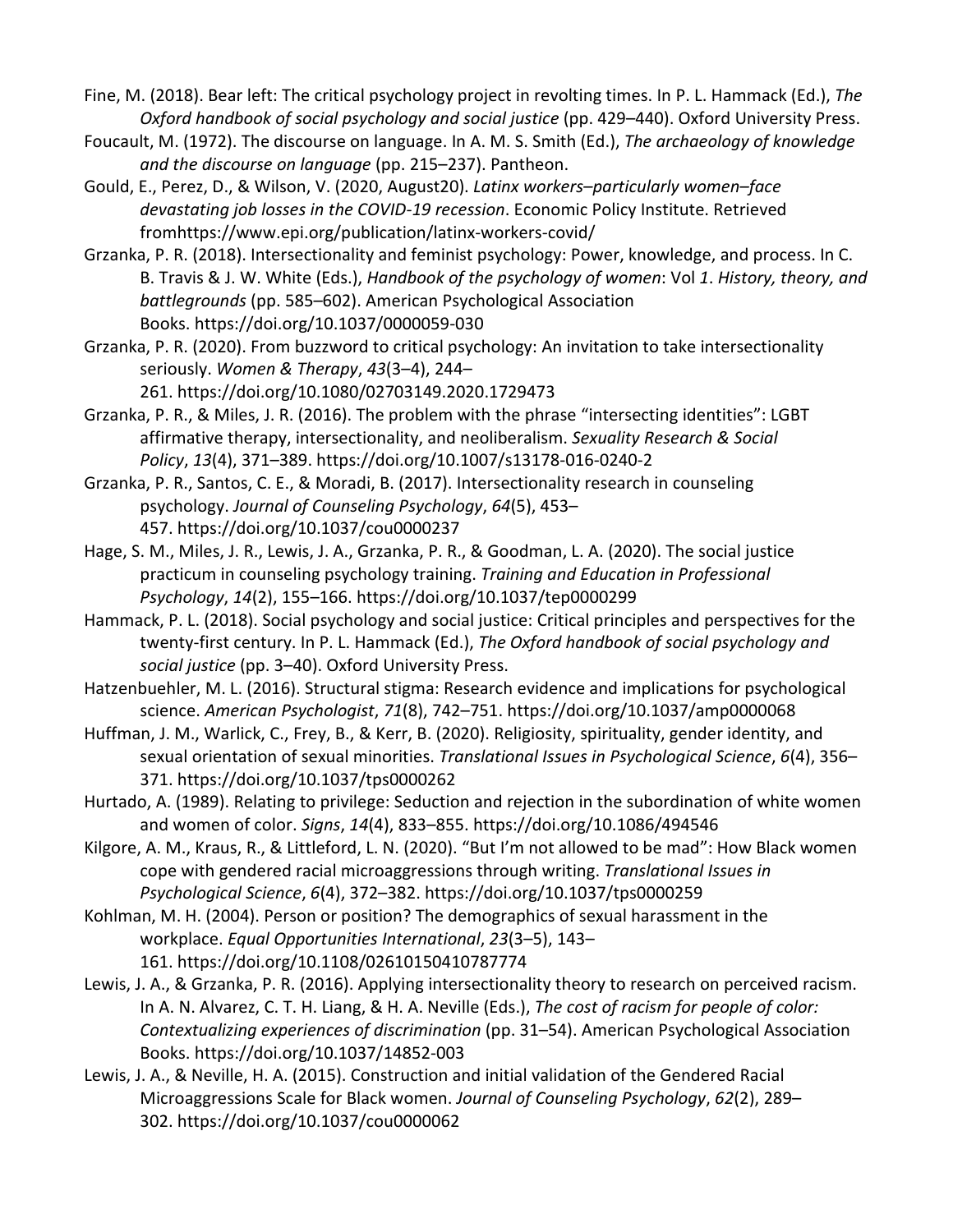Fine, M. (2018). Bear left: The critical psychology project in revolting times. In P. L. Hammack (Ed.), *The Oxford handbook of social psychology and social justice* (pp. 429–440). Oxford University Press.

Foucault, M. (1972). The discourse on language. In A. M. S. Smith (Ed.), *The archaeology of knowledge and the discourse on language* (pp. 215–237). Pantheon.

Gould, E., Perez, D., & Wilson, V. (2020, August20). *Latinx workers–particularly women–face devastating job losses in the COVID-19 recession*. Economic Policy Institute. Retrieved fromhttps://www.epi.org/publication/latinx-workers-covid/

Grzanka, P. R. (2018). Intersectionality and feminist psychology: Power, knowledge, and process. In C. B. Travis & J. W. White (Eds.), *Handbook of the psychology of women*: Vol *1*. *History, theory, and battlegrounds* (pp. 585–602). American Psychological Association Books. https://doi.org/10.1037/0000059-030

Grzanka, P. R. (2020). From buzzword to critical psychology: An invitation to take intersectionality seriously. *Women & Therapy*, *43*(3–4), 244–

261. https://doi.org/10.1080/02703149.2020.1729473 Grzanka, P. R., & Miles, J. R. (2016). The problem with the phrase "intersecting identities": LGBT

affirmative therapy, intersectionality, and neoliberalism. *Sexuality Research & Social Policy*, *13*(4), 371–389. https://doi.org/10.1007/s13178-016-0240-2

Grzanka, P. R., Santos, C. E., & Moradi, B. (2017). Intersectionality research in counseling psychology. *Journal of Counseling Psychology*, *64*(5), 453– 457. https://doi.org/10.1037/cou0000237

- Hage, S. M., Miles, J. R., Lewis, J. A., Grzanka, P. R., & Goodman, L. A. (2020). The social justice practicum in counseling psychology training. *Training and Education in Professional Psychology*, *14*(2), 155–166. https://doi.org/10.1037/tep0000299
- Hammack, P. L. (2018). Social psychology and social justice: Critical principles and perspectives for the twenty-first century. In P. L. Hammack (Ed.), *The Oxford handbook of social psychology and social justice* (pp. 3–40). Oxford University Press.
- Hatzenbuehler, M. L. (2016). Structural stigma: Research evidence and implications for psychological science. *American Psychologist*, *71*(8), 742–751. https://doi.org/10.1037/amp0000068
- Huffman, J. M., Warlick, C., Frey, B., & Kerr, B. (2020). Religiosity, spirituality, gender identity, and sexual orientation of sexual minorities. *Translational Issues in Psychological Science*, *6*(4), 356– 371. https://doi.org/10.1037/tps0000262
- Hurtado, A. (1989). Relating to privilege: Seduction and rejection in the subordination of white women and women of color. *Signs*, *14*(4), 833–855. https://doi.org/10.1086/494546
- Kilgore, A. M., Kraus, R., & Littleford, L. N. (2020). "But I'm not allowed to be mad": How Black women cope with gendered racial microaggressions through writing. *Translational Issues in Psychological Science*, *6*(4), 372–382. https://doi.org/10.1037/tps0000259
- Kohlman, M. H. (2004). Person or position? The demographics of sexual harassment in the workplace. *Equal Opportunities International*, *23*(3–5), 143– 161. https://doi.org/10.1108/02610150410787774
- Lewis, J. A., & Grzanka, P. R. (2016). Applying intersectionality theory to research on perceived racism. In A. N. Alvarez, C. T. H. Liang, & H. A. Neville (Eds.), *The cost of racism for people of color: Contextualizing experiences of discrimination* (pp. 31–54). American Psychological Association Books. https://doi.org/10.1037/14852-003
- Lewis, J. A., & Neville, H. A. (2015). Construction and initial validation of the Gendered Racial Microaggressions Scale for Black women. *Journal of Counseling Psychology*, *62*(2), 289– 302. https://doi.org/10.1037/cou0000062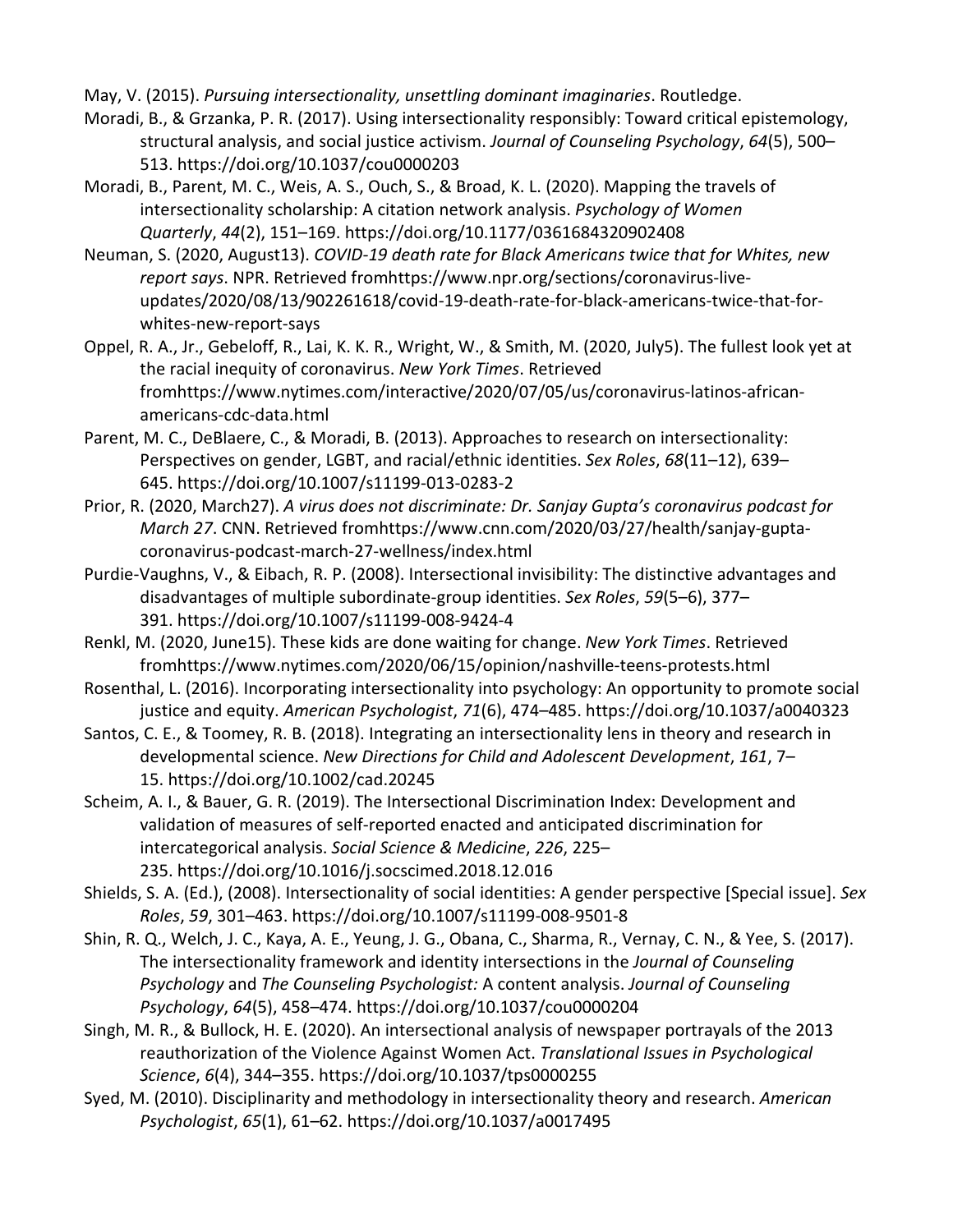May, V. (2015). *Pursuing intersectionality, unsettling dominant imaginaries*. Routledge.

- Moradi, B., & Grzanka, P. R. (2017). Using intersectionality responsibly: Toward critical epistemology, structural analysis, and social justice activism. *Journal of Counseling Psychology*, *64*(5), 500– 513. https://doi.org/10.1037/cou0000203
- Moradi, B., Parent, M. C., Weis, A. S., Ouch, S., & Broad, K. L. (2020). Mapping the travels of intersectionality scholarship: A citation network analysis. *Psychology of Women Quarterly*, *44*(2), 151–169. https://doi.org/10.1177/0361684320902408
- Neuman, S. (2020, August13). *COVID-19 death rate for Black Americans twice that for Whites, new report says*. NPR. Retrieved fromhttps://www.npr.org/sections/coronavirus-liveupdates/2020/08/13/902261618/covid-19-death-rate-for-black-americans-twice-that-forwhites-new-report-says
- Oppel, R. A., Jr., Gebeloff, R., Lai, K. K. R., Wright, W., & Smith, M. (2020, July5). The fullest look yet at the racial inequity of coronavirus. *New York Times*. Retrieved fromhttps://www.nytimes.com/interactive/2020/07/05/us/coronavirus-latinos-africanamericans-cdc-data.html
- Parent, M. C., DeBlaere, C., & Moradi, B. (2013). Approaches to research on intersectionality: Perspectives on gender, LGBT, and racial/ethnic identities. *Sex Roles*, *68*(11–12), 639– 645. https://doi.org/10.1007/s11199-013-0283-2
- Prior, R. (2020, March27). *A virus does not discriminate: Dr. Sanjay Gupta's coronavirus podcast for March 27*. CNN. Retrieved fromhttps://www.cnn.com/2020/03/27/health/sanjay-guptacoronavirus-podcast-march-27-wellness/index.html
- Purdie-Vaughns, V., & Eibach, R. P. (2008). Intersectional invisibility: The distinctive advantages and disadvantages of multiple subordinate-group identities. *Sex Roles*, *59*(5–6), 377– 391. https://doi.org/10.1007/s11199-008-9424-4
- Renkl, M. (2020, June15). These kids are done waiting for change. *New York Times*. Retrieved fromhttps://www.nytimes.com/2020/06/15/opinion/nashville-teens-protests.html
- Rosenthal, L. (2016). Incorporating intersectionality into psychology: An opportunity to promote social justice and equity. *American Psychologist*, *71*(6), 474–485. https://doi.org/10.1037/a0040323
- Santos, C. E., & Toomey, R. B. (2018). Integrating an intersectionality lens in theory and research in developmental science. *New Directions for Child and Adolescent Development*, *161*, 7– 15. https://doi.org/10.1002/cad.20245
- Scheim, A. I., & Bauer, G. R. (2019). The Intersectional Discrimination Index: Development and validation of measures of self-reported enacted and anticipated discrimination for intercategorical analysis. *Social Science & Medicine*, *226*, 225– 235. https://doi.org/10.1016/j.socscimed.2018.12.016
- Shields, S. A. (Ed.), (2008). Intersectionality of social identities: A gender perspective [Special issue]. *Sex Roles*, *59*, 301–463. https://doi.org/10.1007/s11199-008-9501-8
- Shin, R. Q., Welch, J. C., Kaya, A. E., Yeung, J. G., Obana, C., Sharma, R., Vernay, C. N., & Yee, S. (2017). The intersectionality framework and identity intersections in the *Journal of Counseling Psychology* and *The Counseling Psychologist:* A content analysis. *Journal of Counseling Psychology*, *64*(5), 458–474. https://doi.org/10.1037/cou0000204
- Singh, M. R., & Bullock, H. E. (2020). An intersectional analysis of newspaper portrayals of the 2013 reauthorization of the Violence Against Women Act. *Translational Issues in Psychological Science*, *6*(4), 344–355. https://doi.org/10.1037/tps0000255
- Syed, M. (2010). Disciplinarity and methodology in intersectionality theory and research. *American Psychologist*, *65*(1), 61–62. https://doi.org/10.1037/a0017495